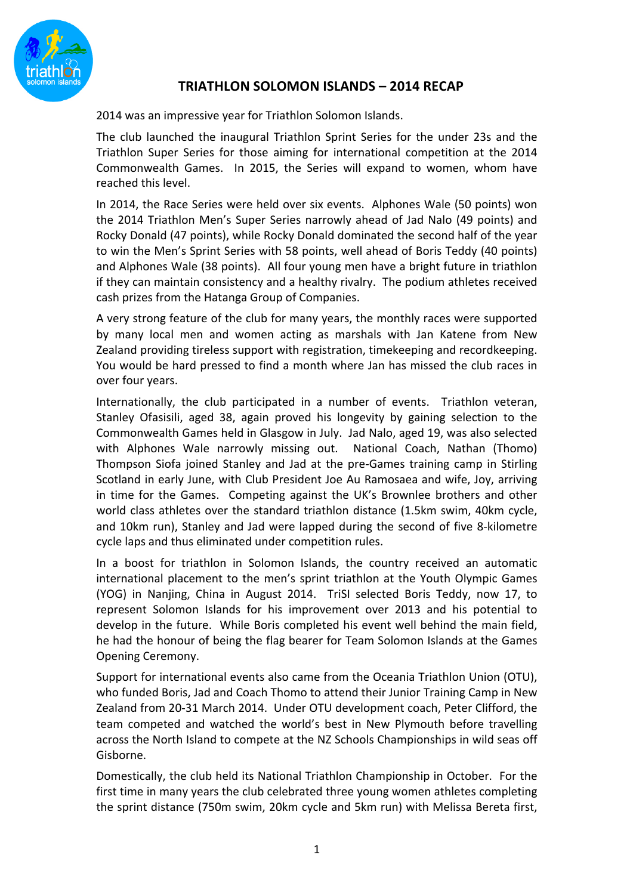

## **TRIATHLON SOLOMON ISLANDS – 2014 RECAP**

2014 was an impressive year for Triathlon Solomon Islands.

The club launched the inaugural Triathlon Sprint Series for the under 23s and the Triathlon Super Series for those aiming for international competition at the 2014 Commonwealth Games. In 2015, the Series will expand to women, whom have reached this level.

In 2014, the Race Series were held over six events. Alphones Wale (50 points) won the 2014 Triathlon Men's Super Series narrowly ahead of Jad Nalo (49 points) and Rocky Donald (47 points), while Rocky Donald dominated the second half of the year to win the Men's Sprint Series with 58 points, well ahead of Boris Teddy (40 points) and Alphones Wale (38 points). All four young men have a bright future in triathlon if they can maintain consistency and a healthy rivalry. The podium athletes received cash prizes from the Hatanga Group of Companies.

A very strong feature of the club for many years, the monthly races were supported by many local men and women acting as marshals with Jan Katene from New Zealand providing tireless support with registration, timekeeping and recordkeeping. You would be hard pressed to find a month where Jan has missed the club races in over four years.

Internationally, the club participated in a number of events. Triathlon veteran, Stanley Ofasisili, aged 38, again proved his longevity by gaining selection to the Commonwealth Games held in Glasgow in July. Jad Nalo, aged 19, was also selected with Alphones Wale narrowly missing out. National Coach, Nathan (Thomo) Thompson Siofa joined Stanley and Jad at the pre-Games training camp in Stirling Scotland in early June, with Club President Joe Au Ramosaea and wife, Joy, arriving in time for the Games. Competing against the UK's Brownlee brothers and other world class athletes over the standard triathlon distance (1.5km swim, 40km cycle, and 10km run), Stanley and Jad were lapped during the second of five 8-kilometre cycle laps and thus eliminated under competition rules.

In a boost for triathlon in Solomon Islands, the country received an automatic international placement to the men's sprint triathlon at the Youth Olympic Games (YOG) in Nanjing, China in August 2014. TriSI selected Boris Teddy, now 17, to represent Solomon Islands for his improvement over 2013 and his potential to develop in the future. While Boris completed his event well behind the main field, he had the honour of being the flag bearer for Team Solomon Islands at the Games Opening Ceremony.

Support for international events also came from the Oceania Triathlon Union (OTU), who funded Boris, Jad and Coach Thomo to attend their Junior Training Camp in New Zealand from 20-31 March 2014. Under OTU development coach, Peter Clifford, the team competed and watched the world's best in New Plymouth before travelling across the North Island to compete at the NZ Schools Championships in wild seas off Gisborne.

Domestically, the club held its National Triathlon Championship in October. For the first time in many years the club celebrated three young women athletes completing the sprint distance (750m swim, 20km cycle and 5km run) with Melissa Bereta first,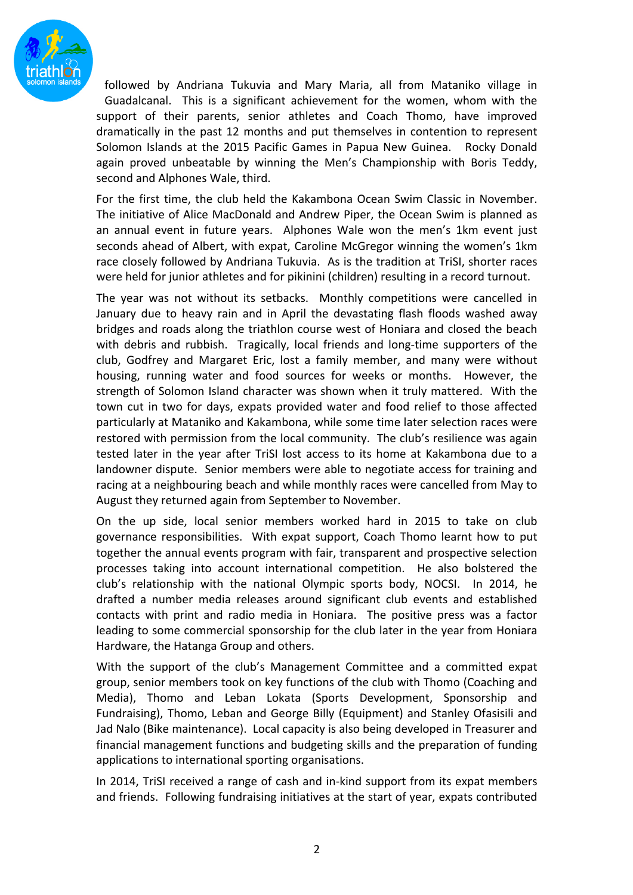

followed by Andriana Tukuvia and Mary Maria, all from Mataniko village in Guadalcanal. This is a significant achievement for the women, whom with the support of their parents, senior athletes and Coach Thomo, have improved dramatically in the past 12 months and put themselves in contention to represent Solomon Islands at the 2015 Pacific Games in Papua New Guinea. Rocky Donald again proved unbeatable by winning the Men's Championship with Boris Teddy, second and Alphones Wale, third.

For the first time, the club held the Kakambona Ocean Swim Classic in November. The initiative of Alice MacDonald and Andrew Piper, the Ocean Swim is planned as an annual event in future years. Alphones Wale won the men's 1km event just seconds ahead of Albert, with expat, Caroline McGregor winning the women's 1km race closely followed by Andriana Tukuvia. As is the tradition at TriSI, shorter races were held for junior athletes and for pikinini (children) resulting in a record turnout.

The year was not without its setbacks. Monthly competitions were cancelled in January due to heavy rain and in April the devastating flash floods washed away bridges and roads along the triathlon course west of Honiara and closed the beach with debris and rubbish. Tragically, local friends and long-time supporters of the club, Godfrey and Margaret Eric, lost a family member, and many were without housing, running water and food sources for weeks or months. However, the strength of Solomon Island character was shown when it truly mattered. With the town cut in two for days, expats provided water and food relief to those affected particularly at Mataniko and Kakambona, while some time later selection races were restored with permission from the local community. The club's resilience was again tested later in the year after TriSI lost access to its home at Kakambona due to a landowner dispute. Senior members were able to negotiate access for training and racing at a neighbouring beach and while monthly races were cancelled from May to August they returned again from September to November.

On the up side, local senior members worked hard in 2015 to take on club governance responsibilities. With expat support, Coach Thomo learnt how to put together the annual events program with fair, transparent and prospective selection processes taking into account international competition. He also bolstered the club's relationship with the national Olympic sports body, NOCSI. In 2014, he drafted a number media releases around significant club events and established contacts with print and radio media in Honiara. The positive press was a factor leading to some commercial sponsorship for the club later in the year from Honiara Hardware, the Hatanga Group and others.

With the support of the club's Management Committee and a committed expat group, senior members took on key functions of the club with Thomo (Coaching and Media), Thomo and Leban Lokata (Sports Development, Sponsorship and Fundraising), Thomo, Leban and George Billy (Equipment) and Stanley Ofasisili and Jad Nalo (Bike maintenance). Local capacity is also being developed in Treasurer and financial management functions and budgeting skills and the preparation of funding applications to international sporting organisations.

In 2014, TriSI received a range of cash and in-kind support from its expat members and friends. Following fundraising initiatives at the start of year, expats contributed